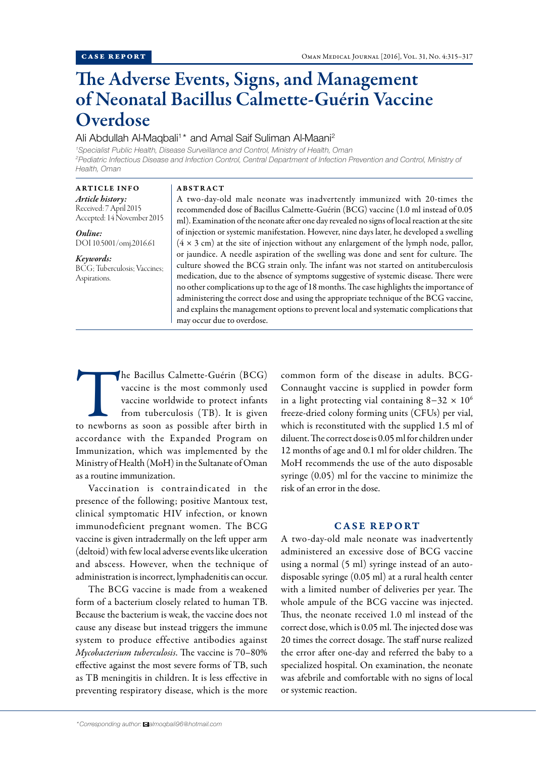# The Adverse Events, Signs, and Management of Neonatal Bacillus Calmette-Guérin Vaccine Overdose

## Ali Abdullah Al-Maqbali<sup>1\*</sup> and Amal Saif Suliman Al-Maani<sup>2</sup>

<sup>1</sup> Specialist Public Health, Disease Surveillance and Control, Ministry of Health, Oman *2 Pediatric Infectious Disease and Infection Control, Central Department of Infection Prevention and Control, Ministry of Health, Oman*

## ARTICLE INFO

*Article history:* Received: 7 April 2015 Accepted: 14 November 2015

*Online:* DOI 10.5001/omj.2016.61

### *Keywords:*

BCG; Tuberculosis; Vaccines; Aspirations.

#### **ABSTRACT**

A two-day-old male neonate was inadvertently immunized with 20-times the recommended dose of Bacillus Calmette-Guérin (BCG) vaccine (1.0 ml instead of 0.05 ml). Examination of the neonate after one day revealed no signs of local reaction at the site of injection or systemic manifestation. However, nine days later, he developed a swelling  $(4 \times 3 \text{ cm})$  at the site of injection without any enlargement of the lymph node, pallor, or jaundice. A needle aspiration of the swelling was done and sent for culture. The culture showed the BCG strain only. The infant was not started on antituberculosis medication, due to the absence of symptoms suggestive of systemic disease. There were no other complications up to the age of 18 months. The case highlights the importance of administering the correct dose and using the appropriate technique of the BCG vaccine, and explains the management options to prevent local and systematic complications that may occur due to overdose.

The Bacillus Calmette-Guérin (BCG)<br>
vaccine is the most commonly used<br>
vaccine worldwide to protect infants<br>
from tuberculosis (TB). It is given<br>
to newborns as soon as possible after birth in vaccine is the most commonly used vaccine worldwide to protect infants from tuberculosis (TB). It is given accordance with the Expanded Program on Immunization, which was implemented by the Ministry of Health (MoH) in the Sultanate of Oman as a routine immunization.

Vaccination is contraindicated in the presence of the following; positive Mantoux test, clinical symptomatic HIV infection, or known immunodeficient pregnant women. The BCG vaccine is given intradermally on the left upper arm (deltoid) with few local adverse events like ulceration and abscess. However, when the technique of administration is incorrect, lymphadenitis can occur.

The BCG vaccine is made from a weakened form of a bacterium closely related to human TB. Because the bacterium is weak, the vaccine does not cause any disease but instead triggers the immune system to produce effective antibodies against *Mycobacterium tuberculosis*. The vaccine is 70–80% effective against the most severe forms of TB, such as TB meningitis in children. It is less effective in preventing respiratory disease, which is the more common form of the disease in adults. BCG-Connaught vaccine is supplied in powder form in a light protecting vial containing  $8-32 \times 10^6$ freeze-dried colony forming units (CFUs) per vial, which is reconstituted with the supplied 1.5 ml of diluent. The correct dose is 0.05 ml for children under 12 months of age and 0.1 ml for older children. The MoH recommends the use of the auto disposable syringe (0.05) ml for the vaccine to minimize the risk of an error in the dose.

## CASE REPORT

A two-day-old male neonate was inadvertently administered an excessive dose of BCG vaccine using a normal (5 ml) syringe instead of an autodisposable syringe (0.05 ml) at a rural health center with a limited number of deliveries per year. The whole ampule of the BCG vaccine was injected. Thus, the neonate received 1.0 ml instead of the correct dose, which is 0.05 ml. The injected dose was 20 times the correct dosage. The staff nurse realized the error after one-day and referred the baby to a specialized hospital. On examination, the neonate was afebrile and comfortable with no signs of local or systemic reaction.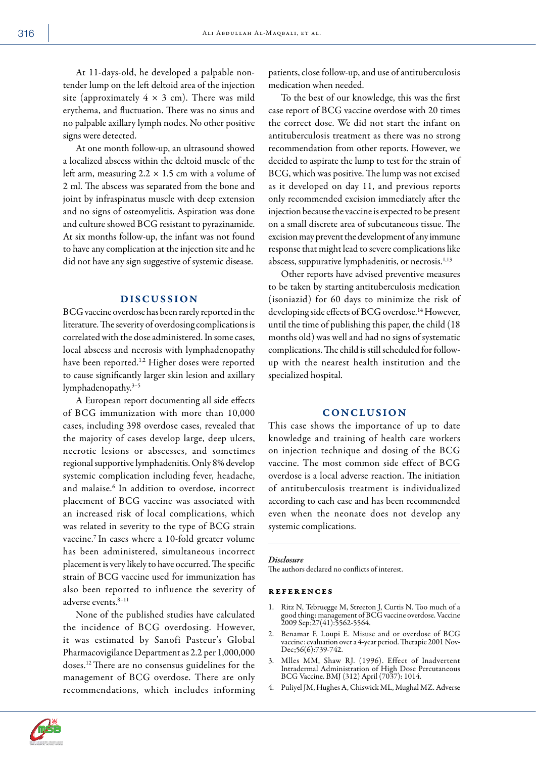At 11-days-old, he developed a palpable nontender lump on the left deltoid area of the injection site (approximately  $4 \times 3$  cm). There was mild erythema, and fluctuation. There was no sinus and no palpable axillary lymph nodes. No other positive signs were detected.

At one month follow-up, an ultrasound showed a localized abscess within the deltoid muscle of the left arm, measuring  $2.2 \times 1.5$  cm with a volume of 2 ml. The abscess was separated from the bone and joint by infraspinatus muscle with deep extension and no signs of osteomyelitis. Aspiration was done and culture showed BCG resistant to pyrazinamide. At six months follow-up, the infant was not found to have any complication at the injection site and he did not have any sign suggestive of systemic disease.

## DISCUSSION

BCG vaccine overdose has been rarely reported in the literature. The severity of overdosing complications is correlated with the dose administered. In some cases, local abscess and necrosis with lymphadenopathy have been reported.<sup>1,2</sup> Higher doses were reported to cause significantly larger skin lesion and axillary lymphadenopathy.3–5

A European report documenting all side effects of BCG immunization with more than 10,000 cases, including 398 overdose cases, revealed that the majority of cases develop large, deep ulcers, necrotic lesions or abscesses, and sometimes regional supportive lymphadenitis. Only 8% develop systemic complication including fever, headache, and malaise.<sup>6</sup> In addition to overdose, incorrect placement of BCG vaccine was associated with an increased risk of local complications, which was related in severity to the type of BCG strain vaccine.<sup>7</sup> In cases where a 10-fold greater volume has been administered, simultaneous incorrect placement is very likely to have occurred. The specific strain of BCG vaccine used for immunization has also been reported to influence the severity of adverse events.8–11

None of the published studies have calculated the incidence of BCG overdosing. However, it was estimated by Sanofi Pasteur's Global Pharmacovigilance Department as 2.2 per 1,000,000 doses.12 There are no consensus guidelines for the management of BCG overdose. There are only recommendations, which includes informing

patients, close follow-up, and use of antituberculosis medication when needed.

To the best of our knowledge, this was the first case report of BCG vaccine overdose with 20 times the correct dose. We did not start the infant on antituberculosis treatment as there was no strong recommendation from other reports. However, we decided to aspirate the lump to test for the strain of BCG, which was positive. The lump was not excised as it developed on day 11, and previous reports only recommended excision immediately after the injection because the vaccine is expected to be present on a small discrete area of subcutaneous tissue. The excision may prevent the development of any immune response that might lead to severe complications like abscess, suppurative lymphadenitis, or necrosis.<sup>1,13</sup>

Other reports have advised preventive measures to be taken by starting antituberculosis medication (isoniazid) for 60 days to minimize the risk of developing side effects of BCG overdose.<sup>14</sup> However, until the time of publishing this paper, the child (18 months old) was well and had no signs of systematic complications. The child is still scheduled for followup with the nearest health institution and the specialized hospital.

## **CONCLUSION**

This case shows the importance of up to date knowledge and training of health care workers on injection technique and dosing of the BCG vaccine. The most common side effect of BCG overdose is a local adverse reaction. The initiation of antituberculosis treatment is individualized according to each case and has been recommended even when the neonate does not develop any systemic complications.

#### *Disclosure*

The authors declared no conflicts of interest.

#### references

- 1. Ritz N, Tebruegge M, Streeton J, Curtis N. Too much of a good thing: management of BCG vaccine overdose. Vaccine 2009 Sep;27(41):5562-5564.
- 2. Benamar F, Loupi E. Misuse and or overdose of BCG vaccine: evaluation over a 4-year period. Therapie 2001 Nov-Dec;56(6):739-742.
- 3. Mlles MM, Shaw RJ. (1996). Effect of Inadvertent Intradermal Administration of High Dose Percutaneous BCG Vaccine. BMJ (312) April (7037): 1014.
- 4. Puliyel JM, Hughes A, Chiswick ML, Mughal MZ. Adverse